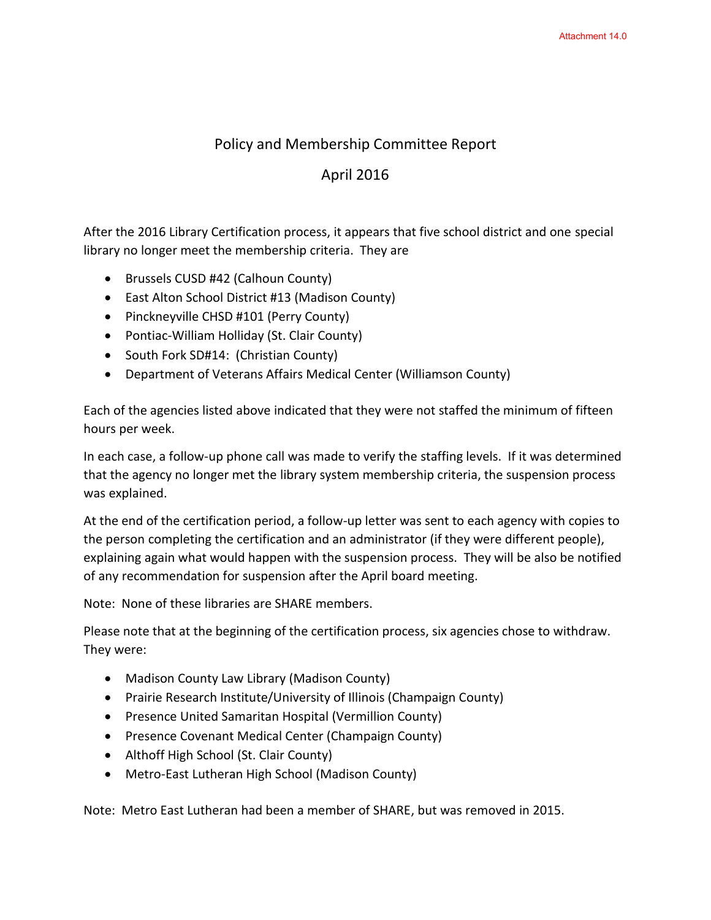## Policy and Membership Committee Report

## April 2016

After the 2016 Library Certification process, it appears that five school district and one special library no longer meet the membership criteria. They are

- Brussels CUSD #42 (Calhoun County)
- East Alton School District #13 (Madison County)
- Pinckneyville CHSD #101 (Perry County)
- Pontiac-William Holliday (St. Clair County)
- South Fork SD#14: (Christian County)
- Department of Veterans Affairs Medical Center (Williamson County)

Each of the agencies listed above indicated that they were not staffed the minimum of fifteen hours per week.

In each case, a follow-up phone call was made to verify the staffing levels. If it was determined that the agency no longer met the library system membership criteria, the suspension process was explained.

At the end of the certification period, a follow-up letter was sent to each agency with copies to the person completing the certification and an administrator (if they were different people), explaining again what would happen with the suspension process. They will be also be notified of any recommendation for suspension after the April board meeting.

Note: None of these libraries are SHARE members.

Please note that at the beginning of the certification process, six agencies chose to withdraw. They were:

- Madison County Law Library (Madison County)
- Prairie Research Institute/University of Illinois (Champaign County)
- Presence United Samaritan Hospital (Vermillion County)
- Presence Covenant Medical Center (Champaign County)
- Althoff High School (St. Clair County)
- Metro-East Lutheran High School (Madison County)

Note: Metro East Lutheran had been a member of SHARE, but was removed in 2015.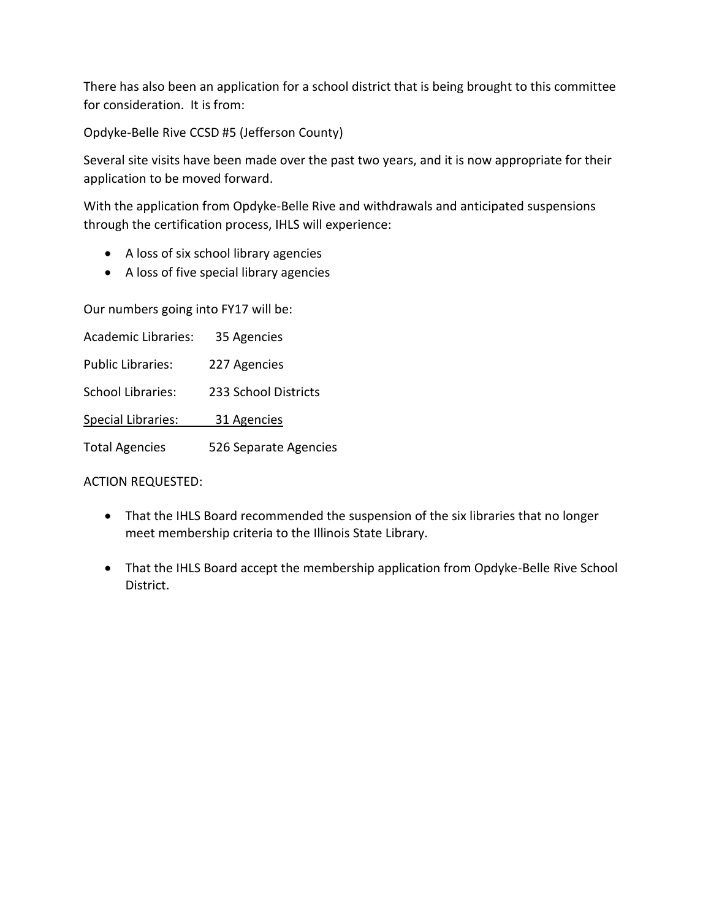There has also been an application for a school district that is being brought to this committee for consideration. It is from:

Opdyke-Belle Rive CCSD #5 (Jefferson County)

Several site visits have been made over the past two years, and it is now appropriate for their application to be moved forward.

With the application from Opdyke-Belle Rive and withdrawals and anticipated suspensions through the certification process, IHLS will experience:

- A loss of six school library agencies
- A loss of five special library agencies

Our numbers going into FY17 will be:

Academic Libraries: 35 Agencies Public Libraries: 227 Agencies School Libraries: 233 School Districts Special Libraries: 31 Agencies Total Agencies 526 Separate Agencies

ACTION REQUESTED:

- That the IHLS Board recommended the suspension of the six libraries that no longer meet membership criteria to the Illinois State Library.
- That the IHLS Board accept the membership application from Opdyke-Belle Rive School District.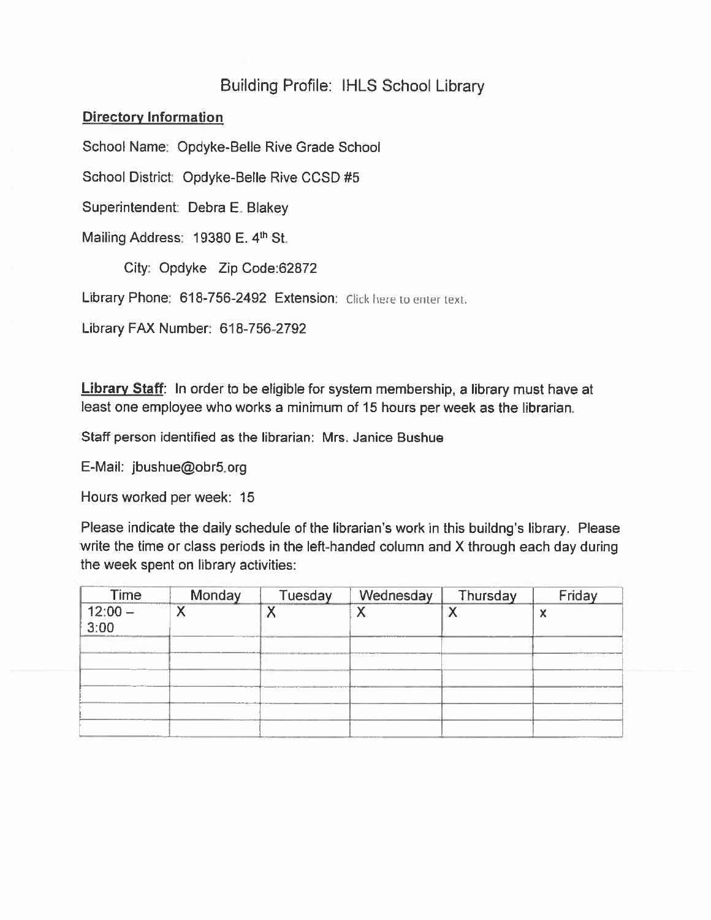## **Building Profile: IHLS School Library**

## **Directory Information**

School Name: Opdyke-Belle Rive Grade School

School District: Opdyke-Belle Rive CCSD #5

Superintendent: Debra E. Blakey

Mailing Address: 19380 E. 4th St.

City: Opdyke Zip Code:62872

Library Phone: 618-756-2492 Extension: Click here to enter text.

Library FAX Number: 618-756-2792

Library Staff: In order to be eligible for system membership, a library must have at least one employee who works a minimum of 15 hours per week as the librarian.

Staff person identified as the librarian: Mrs. Janice Bushue

E-Mail: jbushue@obr5.org

Hours worked per week: 15

Please indicate the daily schedule of the librarian's work in this buildng's library. Please write the time or class periods in the left-handed column and X through each day during the week spent on library activities:

| Time           | Monday | Tuesday   | Wednesday | Thursday | Friday |
|----------------|--------|-----------|-----------|----------|--------|
| $12:00 - 3:00$ |        | $\lambda$ |           |          | 3.0    |
|                |        |           |           |          |        |
|                |        |           |           |          |        |
|                |        |           |           |          |        |